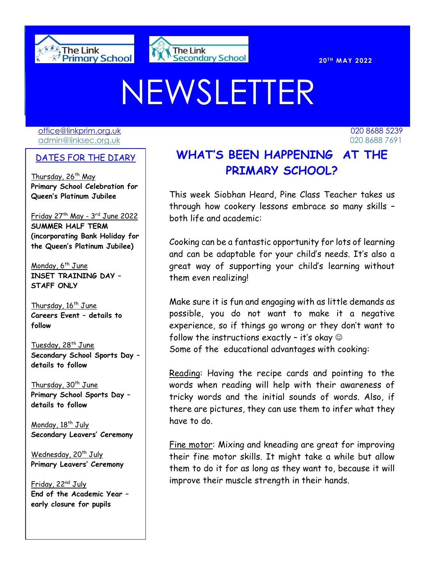



# NEWSLETTER

[office@linkprim.org.uk](mailto:office@linkprim.org.uk) 020 8688 5239 admin@linksec.org.uk 020 8688 7691

#### DATES FOR THE DIARY

Thursday, 26<sup>th</sup> May **Primary School Celebration for Queen's Platinum Jubilee**

<u>Friday 27th May - 3rd June 2022</u> **SUMMER HALF TERM (incorporating Bank Holiday for the Queen's Platinum Jubilee)**

Monday,  $6^{th}$  June **INSET TRAINING DAY – STAFF ONLY**

Thursday, 16<sup>th</sup> June **Careers Event – details to follow**

Tuesday, 28<sup>th</sup> June **Secondary School Sports Day – details to follow**

Thursday,  $30<sup>th</sup>$  June **Primary School Sports Day – details to follow**

Monday, 18<sup>th</sup> July **Secondary Leavers' Ceremony**

Wednesday, 20<sup>th</sup> July **Primary Leavers' Ceremony**

Friday, 22<sup>nd</sup> July **End of the Academic Year – early closure for pupils**

**DATES FOR THE DIARY WHAT'S BEEN HAPPENING AT THE PRIMARY SCHOOL?**

> through how cookery lessons embrace so many skills – This week Siobhan Heard, Pine Class Teacher takes us both life and academic:

> Cooking can be a fantastic opportunity for lots of learning and can be adaptable for your child's needs. It's also a great way of supporting your child's learning without them even realizing!

> Make sure it is fun and engaging with as little demands as possible, you do not want to make it a negative experience, so if things go wrong or they don't want to follow the instructions exactly - it's okay  $\odot$ Some of the educational advantages with cooking:

> Reading: Having the recipe cards and pointing to the words when reading will help with their awareness of tricky words and the initial sounds of words. Also, if there are pictures, they can use them to infer what they have to do.

> Fine motor: Mixing and kneading are great for improving their fine motor skills. It might take a while but allow them to do it for as long as they want to, because it will improve their muscle strength in their hands.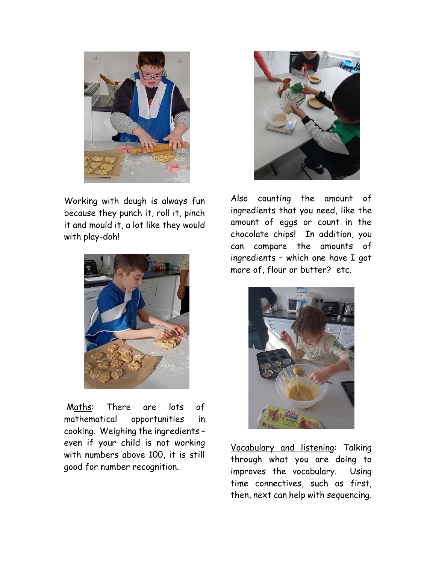

Working with dough is always fun because they punch it, roll it, pinch it and mould it, a lot like they would with play-doh!



Maths: There are lots of mathematical opportunities in cooking. Weighing the ingredients – even if your child is not working with numbers above 100, it is still good for number recognition.



Also counting the amount of ingredients that you need, like the amount of eggs or count in the chocolate chips! In addition, you can compare the amounts of ingredients – which one have I got more of, flour or butter? etc.



Vocabulary and listening: Talking through what you are doing to improves the vocabulary. Using time connectives, such as first, then, next can help with sequencing.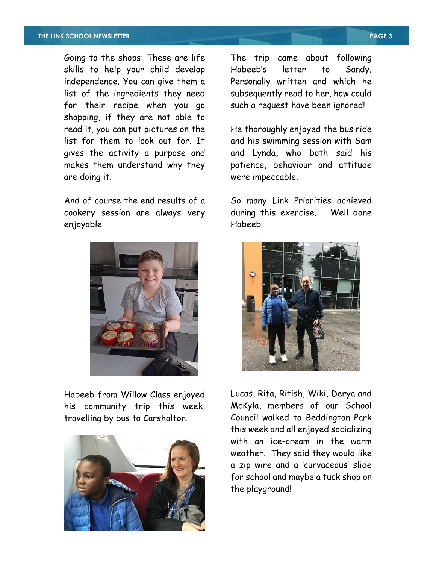Going to the shops: These are life skills to help your child develop independence. You can give them a list of the ingredients they need for their recipe when you go shopping, if they are not able to read it, you can put pictures on the list for them to look out for. It gives the activity a purpose and makes them understand why they are doing it.

And of course the end results of a cookery session are always very enjoyable.



Habeeb from Willow Class enjoyed his community trip this week, travelling by bus to Carshalton.



The trip came about following Habeeb's letter to Sandy. Personally written and which he subsequently read to her, how could such a request have been ignored!

He thoroughly enjoyed the bus ride and his swimming session with Sam and Lynda, who both said his patience, behaviour and attitude were impeccable.

So many Link Priorities achieved during this exercise. Well done Habeeb.



Lucas, Rita, Ritish, Wiki, Derya and McKyla, members of our School Council walked to Beddington Park this week and all enjoyed socializing with an ice-cream in the warm weather. They said they would like a zip wire and a 'curvaceous' slide for school and maybe a tuck shop on the playground!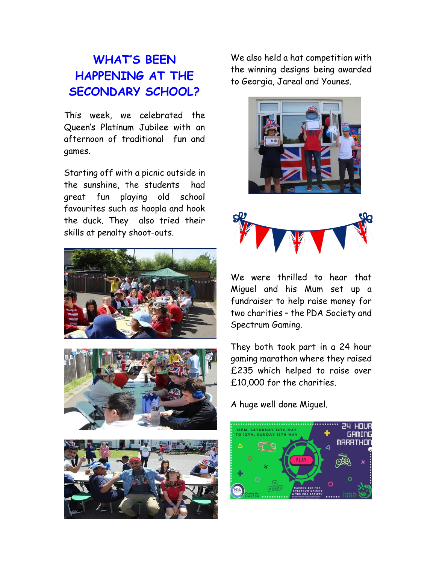# **WHAT'S BEEN HAPPENING AT THE SECONDARY SCHOOL?**

This week, we celebrated the Queen's Platinum Jubilee with an afternoon of traditional fun and games.

Starting off with a picnic outside in the sunshine, the students had great fun playing old school favourites such as hoopla and hook the duck. They also tried their skills at penalty shoot-outs.







We also held a hat competition with the winning designs being awarded to Georgia, Jareal and Younes.





We were thrilled to hear that Miguel and his Mum set up a fundraiser to help raise money for two charities – the PDA Society and Spectrum Gaming.

They both took part in a 24 hour gaming marathon where they raised £235 which helped to raise over £10,000 for the charities.

A huge well done Miguel.